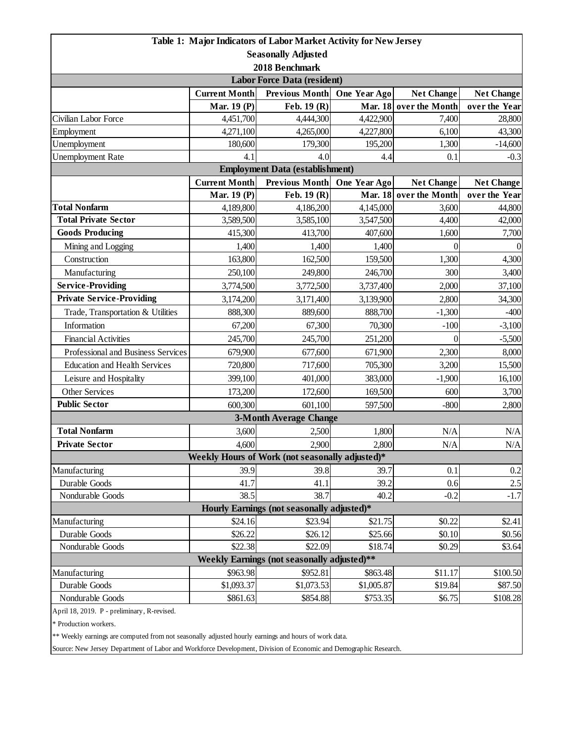| Table 1: Major Indicators of Labor Market Activity for New Jersey                                                                                 |                      |                               |                      |                        |                     |  |  |  |
|---------------------------------------------------------------------------------------------------------------------------------------------------|----------------------|-------------------------------|----------------------|------------------------|---------------------|--|--|--|
| <b>Seasonally Adjusted</b>                                                                                                                        |                      |                               |                      |                        |                     |  |  |  |
| 2018 Benchmark                                                                                                                                    |                      |                               |                      |                        |                     |  |  |  |
| <b>Labor Force Data (resident)</b>                                                                                                                |                      |                               |                      |                        |                     |  |  |  |
|                                                                                                                                                   | <b>Current Month</b> | <b>Previous Month</b>         | One Year Ago         | <b>Net Change</b>      | <b>Net Change</b>   |  |  |  |
|                                                                                                                                                   | <b>Mar. 19 (P)</b>   | Feb. $19(R)$                  | <b>Mar. 18</b>       | over the Month         | over the Year       |  |  |  |
| Civilian Labor Force                                                                                                                              | 4,451,700            | 4,444,300                     | 4,422,900            | 7,400                  | 28,800              |  |  |  |
| Employment<br>Unemployment                                                                                                                        | 4,271,100<br>180,600 | 4,265,000                     | 4,227,800<br>195,200 | 6,100                  | 43,300              |  |  |  |
| <b>Unemployment Rate</b>                                                                                                                          | 4.1                  | 179,300<br>4.0                | 4.4                  | 1,300<br>0.1           | $-14,600$<br>$-0.3$ |  |  |  |
|                                                                                                                                                   |                      |                               |                      |                        |                     |  |  |  |
| <b>Employment Data (establishment)</b><br><b>Current Month</b><br><b>Previous Month</b><br>One Year Ago<br><b>Net Change</b><br><b>Net Change</b> |                      |                               |                      |                        |                     |  |  |  |
|                                                                                                                                                   | <b>Mar. 19 (P)</b>   | Feb. $19(R)$                  |                      | Mar. 18 over the Month | over the Year       |  |  |  |
| <b>Total Nonfarm</b>                                                                                                                              | 4,189,800            | 4,186,200                     | 4,145,000            | 3,600                  | 44,800              |  |  |  |
| <b>Total Private Sector</b>                                                                                                                       | 3,589,500            | 3,585,100                     | 3,547,500            | 4,400                  | 42,000              |  |  |  |
| <b>Goods Producing</b>                                                                                                                            | 415,300              | 413,700                       | 407,600              | 1,600                  | 7,700               |  |  |  |
| Mining and Logging                                                                                                                                | 1,400                | 1,400                         | 1,400                | $\theta$               | $\Omega$            |  |  |  |
| Construction                                                                                                                                      | 163,800              | 162,500                       | 159,500              | 1,300                  | 4,300               |  |  |  |
| Manufacturing                                                                                                                                     | 250,100              | 249,800                       | 246,700              | 300                    | 3,400               |  |  |  |
| <b>Service-Providing</b>                                                                                                                          | 3,774,500            | 3,772,500                     | 3,737,400            | 2,000                  | 37,100              |  |  |  |
| <b>Private Service-Providing</b>                                                                                                                  | 3,174,200            | 3,171,400                     | 3,139,900            | 2,800                  | 34,300              |  |  |  |
| Trade, Transportation & Utilities                                                                                                                 | 888,300              | 889,600                       | 888,700              | $-1,300$               | $-400$              |  |  |  |
| Information                                                                                                                                       | 67,200               | 67,300                        | 70,300               | $-100$                 | $-3,100$            |  |  |  |
| <b>Financial Activities</b>                                                                                                                       | 245,700              | 245,700                       | 251,200              | $\theta$               | $-5,500$            |  |  |  |
| Professional and Business Services                                                                                                                | 679,900              | 677,600                       | 671,900              | 2,300                  | 8,000               |  |  |  |
| <b>Education and Health Services</b>                                                                                                              | 720,800              | 717,600                       | 705,300              | 3,200                  | 15,500              |  |  |  |
| Leisure and Hospitality                                                                                                                           | 399,100              | 401,000                       | 383,000              | $-1,900$               | 16,100              |  |  |  |
| <b>Other Services</b>                                                                                                                             | 173,200              | 172,600                       | 169,500              | 600                    | 3,700               |  |  |  |
| <b>Public Sector</b>                                                                                                                              | 600,300              | 601,100                       | 597,500              | $-800$                 | 2,800               |  |  |  |
|                                                                                                                                                   |                      | <b>3-Month Average Change</b> |                      |                        |                     |  |  |  |
| <b>Total Nonfarm</b>                                                                                                                              | 3,600                | 2,500                         | 1,800                | N/A                    | N/A                 |  |  |  |
| <b>Private Sector</b>                                                                                                                             | 4,600                | 2,900                         | 2,800                | N/A                    | $\rm N/A$           |  |  |  |
| Weekly Hours of Work (not seasonally adjusted)*                                                                                                   |                      |                               |                      |                        |                     |  |  |  |
| Manufacturing                                                                                                                                     | 39.9                 | 39.8                          | 39.7                 | 0.1                    | 0.2                 |  |  |  |
| Durable Goods                                                                                                                                     | 41.7                 | 41.1                          | 39.2                 | 0.6                    | $2.5\,$             |  |  |  |
| Nondurable Goods                                                                                                                                  | 38.5                 | 38.7                          | 40.2                 | $-0.2$                 | $-1.7$              |  |  |  |
| Hourly Earnings (not seasonally adjusted)*                                                                                                        |                      |                               |                      |                        |                     |  |  |  |
| Manufacturing                                                                                                                                     | \$24.16              | \$23.94                       | \$21.75              | \$0.22                 | \$2.41              |  |  |  |
| Durable Goods                                                                                                                                     | \$26.22              | \$26.12                       | \$25.66              | \$0.10                 | \$0.56              |  |  |  |
| Nondurable Goods                                                                                                                                  | \$22.38              | \$22.09                       | \$18.74              | \$0.29                 | \$3.64              |  |  |  |
| Weekly Earnings (not seasonally adjusted)**                                                                                                       |                      |                               |                      |                        |                     |  |  |  |
| Manufacturing                                                                                                                                     | \$963.98             | \$952.81                      | \$863.48             | \$11.17                | \$100.50            |  |  |  |
| Durable Goods                                                                                                                                     | \$1,093.37           | \$1,073.53                    | \$1,005.87           | \$19.84                | \$87.50             |  |  |  |
| Nondurable Goods                                                                                                                                  | \$861.63             | \$854.88                      | \$753.35             | \$6.75                 | \$108.28            |  |  |  |
| April 18, 2019. P - preliminary, R-revised.                                                                                                       |                      |                               |                      |                        |                     |  |  |  |

\* Production workers.

\*\* Weekly earnings are computed from not seasonally adjusted hourly earnings and hours of work data.

Source: New Jersey Department of Labor and Workforce Development, Division of Economic and Demographic Research.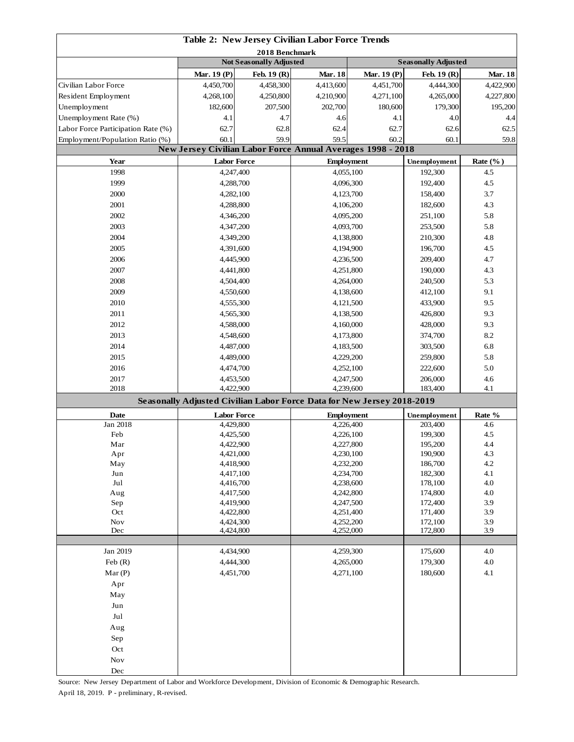| Table 2: New Jersey Civilian Labor Force Trends |                                                  |                                         |                                                                        |                        |                            |                             |  |
|-------------------------------------------------|--------------------------------------------------|-----------------------------------------|------------------------------------------------------------------------|------------------------|----------------------------|-----------------------------|--|
|                                                 | 2018 Benchmark<br><b>Not Seasonally Adjusted</b> |                                         |                                                                        |                        |                            |                             |  |
|                                                 |                                                  |                                         | <b>Mar. 18</b>                                                         | Mar. 19 (P)            | <b>Seasonally Adjusted</b> |                             |  |
| Civilian Labor Force                            | Mar. 19 (P)<br>4,450,700                         | Feb. 19 (R)<br>4,458,300                | 4,413,600                                                              | 4,451,700              | Feb. 19 (R)<br>4,444,300   | <b>Mar. 18</b><br>4,422,900 |  |
| Resident Employment                             | 4,268,100                                        | 4,250,800                               | 4,210,900                                                              | 4,271,100              | 4,265,000                  | 4,227,800                   |  |
| Unemployment                                    | 182,600                                          | 207,500                                 | 202,700                                                                | 180,600                | 179,300                    | 195,200                     |  |
| Unemployment Rate (%)                           | 4.1                                              | 4.7                                     | 4.6                                                                    | 4.1                    | 4.0                        | 4.4                         |  |
| Labor Force Participation Rate (%)              | 62.7                                             | 62.8                                    | 62.4                                                                   | 62.7                   | 62.6                       | 62.5                        |  |
| Employment/Population Ratio (%)                 | 60.1                                             | 59.9                                    | 59.5                                                                   | 60.2                   | 60.1                       | 59.8                        |  |
|                                                 |                                                  |                                         | New Jersey Civilian Labor Force Annual Averages 1998 - 2018            |                        |                            |                             |  |
| Year                                            | <b>Labor Force</b>                               |                                         | <b>Employment</b>                                                      |                        | Unemployment               | Rate $(\%$ )                |  |
| 1998                                            | 4,247,400                                        |                                         |                                                                        | 4,055,100              |                            | 4.5                         |  |
| 1999                                            | 4,288,700                                        |                                         | 4,096,300                                                              |                        | 192,300<br>192,400         | 4.5                         |  |
| 2000                                            | 4,282,100                                        |                                         |                                                                        |                        | 158,400                    | 3.7                         |  |
| 2001                                            |                                                  |                                         | 4,123,700<br>4,106,200                                                 |                        | 182,600                    | 4.3                         |  |
| 2002                                            | 4,288,800<br>4,346,200                           |                                         | 4,095,200                                                              |                        | 251,100                    | 5.8                         |  |
| 2003                                            | 4,347,200                                        |                                         |                                                                        | 4,093,700              |                            | 5.8                         |  |
| 2004                                            | 4,349,200                                        |                                         |                                                                        |                        | 253,500<br>210,300         | 4.8                         |  |
| 2005                                            | 4,391,600                                        |                                         |                                                                        | 4,138,800<br>4,194,900 |                            | 4.5                         |  |
| 2006                                            | 4,445,900                                        |                                         | 4,236,500                                                              |                        | 196,700<br>209,400         | 4.7                         |  |
| 2007                                            | 4,441,800                                        |                                         | 4,251,800                                                              |                        | 190,000                    | 4.3                         |  |
| 2008                                            | 4,504,400                                        |                                         | 4,264,000                                                              |                        | 240,500                    | 5.3                         |  |
| 2009                                            |                                                  |                                         |                                                                        |                        | 412,100                    | 9.1                         |  |
| 2010                                            | 4,550,600                                        |                                         |                                                                        | 4,138,600              |                            | 9.5                         |  |
| 2011                                            | 4,555,300<br>4,565,300                           |                                         | 4,121,500                                                              |                        | 433,900                    | 9.3                         |  |
|                                                 |                                                  |                                         | 4,138,500                                                              |                        | 426,800                    |                             |  |
| 2012                                            | 4,588,000                                        |                                         | 4,160,000                                                              |                        | 428,000                    | 9.3                         |  |
| 2013                                            | 4,548,600                                        |                                         | 4,173,800                                                              |                        | 374,700                    | 8.2                         |  |
| 2014                                            | 4,487,000                                        |                                         | 4,183,500                                                              |                        | 303,500                    | 6.8                         |  |
| 2015                                            | 4,489,000                                        |                                         | 4,229,200                                                              |                        | 259,800                    | 5.8                         |  |
| 2016                                            | 4,474,700                                        |                                         | 4,252,100                                                              |                        | 222,600                    | 5.0                         |  |
| 2017<br>2018                                    | 4,453,500<br>4,422,900                           |                                         | 4,247,500<br>4,239,600                                                 |                        | 206,000<br>183,400         | 4.6<br>4.1                  |  |
|                                                 |                                                  |                                         | Seasonally Adjusted Civilian Labor Force Data for New Jersey 2018-2019 |                        |                            |                             |  |
| Date                                            |                                                  | <b>Labor Force</b><br><b>Employment</b> |                                                                        |                        | Unemployment               | Rate %                      |  |
| Jan 2018                                        | 4,429,800                                        |                                         | 4,226,400                                                              |                        | 203,400                    | 4.6                         |  |
| Feb                                             | 4,425,500                                        |                                         | 4,226,100                                                              |                        | 199,300                    | 4.5                         |  |
| Mar                                             | 4,422,900                                        |                                         | 4,227,800                                                              |                        | 195,200                    | 4.4                         |  |
| Apr                                             | 4,421,000                                        |                                         | 4,230,100                                                              |                        | 190,900                    | 4.3                         |  |
| May                                             | 4,418,900                                        |                                         | 4,232,200                                                              |                        | 186,700                    | 4.2                         |  |
| Jun                                             | 4,417,100                                        |                                         | 4,234,700                                                              |                        | 182,300                    | 4.1                         |  |
| $_{\rm{Jul}}$                                   | 4,416,700                                        |                                         | 4,238,600                                                              |                        | 178,100                    | 4.0                         |  |
| Aug                                             | 4,417,500                                        |                                         | 4,242,800                                                              |                        | 174,800                    | 4.0                         |  |
| Sep<br>Oct                                      | 4,419,900                                        |                                         | 4,247,500<br>4,251,400                                                 |                        | 172,400<br>171,400         | 3.9<br>3.9                  |  |
| Nov                                             | 4,422,800<br>4,424,300                           |                                         | 4,252,200                                                              |                        | 172,100                    | 3.9                         |  |
| Dec                                             | 4,424,800                                        |                                         | 4,252,000                                                              |                        | 172,800                    | 3.9                         |  |
|                                                 |                                                  |                                         |                                                                        |                        |                            |                             |  |
| Jan 2019                                        | 4,434,900                                        |                                         | 4,259,300                                                              |                        | 175,600                    | 4.0                         |  |
| Feb $(R)$                                       | 4,444,300                                        |                                         | 4,265,000                                                              |                        | 179,300                    | 4.0                         |  |
| Mar(P)                                          | 4,451,700                                        |                                         | 4,271,100                                                              |                        | 180,600                    | 4.1                         |  |
| Apr                                             |                                                  |                                         |                                                                        |                        |                            |                             |  |
| May                                             |                                                  |                                         |                                                                        |                        |                            |                             |  |
| Jun                                             |                                                  |                                         |                                                                        |                        |                            |                             |  |
| $_{\rm{Jul}}$                                   |                                                  |                                         |                                                                        |                        |                            |                             |  |
| Aug                                             |                                                  |                                         |                                                                        |                        |                            |                             |  |
| Sep                                             |                                                  |                                         |                                                                        |                        |                            |                             |  |
| Oct                                             |                                                  |                                         |                                                                        |                        |                            |                             |  |
| Nov                                             |                                                  |                                         |                                                                        |                        |                            |                             |  |
| $\rm Dec$                                       |                                                  |                                         |                                                                        |                        |                            |                             |  |

Source: New Jersey Department of Labor and Workforce Development, Division of Economic & Demographic Research. April 18, 2019. P - preliminary, R-revised.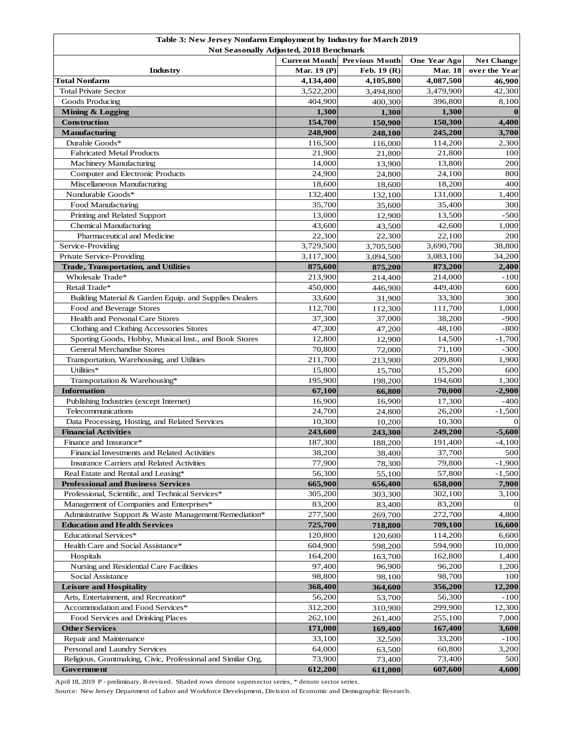| Table 3: New Jersey Nonfarm Employment by Industry for March 2019 |                      |                       |                  |                   |  |  |  |
|-------------------------------------------------------------------|----------------------|-----------------------|------------------|-------------------|--|--|--|
| <b>Not Seasonally Adjusted, 2018 Benchmark</b>                    |                      |                       |                  |                   |  |  |  |
|                                                                   | <b>Current Month</b> | <b>Previous Month</b> | One Year Ago     | <b>Net Change</b> |  |  |  |
| Industry                                                          | Mar. 19 (P)          | Feb. 19 (R)           | <b>Mar. 18</b>   | over the Year     |  |  |  |
| Total Nonfarm<br><b>Total Private Sector</b>                      | 4,134,400            | 4,105,800             | 4,087,500        | 46,900            |  |  |  |
|                                                                   | 3,522,200            | 3,494,800             | 3,479,900        | 42,300            |  |  |  |
| Goods Producing<br>Mining & Logging                               | 404,900<br>1,300     | 400,300               | 396,800<br>1,300 | 8,100<br>$\bf{0}$ |  |  |  |
| Construction                                                      | 154,700              | 1,300<br>150,900      | 150,300          | 4,400             |  |  |  |
| <b>Manufacturing</b>                                              | 248,900              | 248,100               | 245,200          | 3,700             |  |  |  |
| Durable Goods*                                                    | 116,500              | 116,000               | 114,200          | 2,300             |  |  |  |
| <b>Fabricated Metal Products</b>                                  | 21,900               | 21,800                | 21,800           | 100               |  |  |  |
| Machinery Manufacturing                                           | 14,000               | 13,900                | 13,800           | 200               |  |  |  |
| Computer and Electronic Products                                  | 24,900               | 24,800                | 24,100           | 800               |  |  |  |
| Miscellaneous Manufacturing                                       | 18,600               | 18,600                | 18,200           | 400               |  |  |  |
| Nondurable Goods*                                                 | 132,400              | 132,100               | 131,000          | 1,400             |  |  |  |
| Food Manufacturing                                                | 35,700               | 35,600                | 35,400           | 300               |  |  |  |
| Printing and Related Support                                      | 13,000               | 12,900                | 13,500           | $-500$            |  |  |  |
| <b>Chemical Manufacturing</b>                                     | 43,600               | 43,500                | 42,600           | 1,000             |  |  |  |
| Pharmaceutical and Medicine                                       | 22,300               | 22,300                | 22,100           | 200               |  |  |  |
| Service-Providing                                                 | 3,729,500            | 3,705,500             | 3,690,700        | 38,800            |  |  |  |
| Private Service-Providing                                         | 3,117,300            | 3,094,500             | 3,083,100        | 34,200            |  |  |  |
| <b>Trade, Transportation, and Utilities</b>                       | 875,600              | 875,200               | 873,200          | 2,400             |  |  |  |
| Wholesale Trade*                                                  | 213,900              | 214,400               | 214,000          | -100              |  |  |  |
| Retail Trade*                                                     | 450,000              | 446,900               | 449,400          | 600               |  |  |  |
| Building Material & Garden Equip. and Supplies Dealers            | 33,600               | 31,900                | 33,300           | 300               |  |  |  |
| Food and Beverage Stores                                          | 112,700              | 112,300               | 111,700          | 1,000             |  |  |  |
| Health and Personal Care Stores                                   | 37,300               | 37,000                | 38,200           | $-900$            |  |  |  |
| Clothing and Clothing Accessories Stores                          | 47,300               | 47,200                | 48,100           | -800              |  |  |  |
| Sporting Goods, Hobby, Musical Inst., and Book Stores             | 12,800               | 12,900                | 14,500           | $-1,700$          |  |  |  |
| <b>General Merchandise Stores</b>                                 | 70,800               | 72,000                | 71,100           | -300              |  |  |  |
| Transportation, Warehousing, and Utilities                        | 211,700              | 213,900               | 209,800          | 1,900             |  |  |  |
| Utilities*                                                        | 15,800               | 15,700                | 15,200           | 600               |  |  |  |
| Transportation & Warehousing*                                     | 195,900              | 198,200               | 194,600          | 1,300             |  |  |  |
| <b>Information</b>                                                | 67,100               | 66,800                | 70,000           | $-2,900$          |  |  |  |
| Publishing Industries (except Internet)                           | 16,900               | 16,900                | 17,300           | -400              |  |  |  |
| Telecommunications                                                | 24,700               | 24,800                | 26,200           | $-1,500$          |  |  |  |
| Data Processing, Hosting, and Related Services                    | 10,300               | 10,200                | 10,300           |                   |  |  |  |
| <b>Financial Activities</b>                                       | 243,600              | 243,300               | 249,200          | $-5,600$          |  |  |  |
| Finance and Insurance*                                            | 187,300              | 188,200               | 191,400          | $-4,100$          |  |  |  |
| Financial Investments and Related Activities                      | 38,200               | 38,400                | 37,700           | 500               |  |  |  |
| Insurance Carriers and Related Activities                         | 77,900               | 78,300                | 79,800           | $-1,900$          |  |  |  |
| Real Estate and Rental and Leasing*                               | 56,300               | 55,100                | 57,800           | $-1,500$          |  |  |  |
| <b>Professional and Business Services</b>                         | 665,900              | 656,400               | 658,000          | 7,900             |  |  |  |
| Professional, Scientific, and Technical Services*                 | 305,200              | 303,300               | 302,100          | 3,100             |  |  |  |
| Management of Companies and Enterprises*                          | 83,200               | 83,400                | 83,200           | $\Omega$          |  |  |  |
| Administrative Support & Waste Management/Remediation*            | 277,500              | 269,700               | 272,700          | 4,800             |  |  |  |
| <b>Education and Health Services</b>                              | 725,700              | 718,800               | 709,100          | 16,600            |  |  |  |
| Educational Services*                                             | 120,800              | 120,600               | 114,200          | 6,600             |  |  |  |
| Health Care and Social Assistance*                                | 604,900              | 598,200               | 594,900          | 10,000            |  |  |  |
| Hospitals                                                         | 164,200              | 163,700               | 162,800          | 1,400             |  |  |  |
| Nursing and Residential Care Facilities                           | 97,400               | 96,900                | 96,200           | 1,200             |  |  |  |
| Social Assistance                                                 | 98,800               | 98,100                | 98,700           | 100               |  |  |  |
| <b>Leisure and Hospitality</b>                                    | 368,400              | 364,600               | 356,200          | 12,200            |  |  |  |
| Arts, Entertainment, and Recreation*                              | 56,200               | 53,700                | 56,300           | -100              |  |  |  |
| Accommodation and Food Services*                                  | 312,200              | 310,900               | 299,900          | 12,300            |  |  |  |
| Food Services and Drinking Places                                 | 262,100              | 261,400               | 255,100          | 7,000             |  |  |  |
| <b>Other Services</b>                                             | 171,000              | 169,400               | 167,400          | 3,600             |  |  |  |
| Repair and Maintenance                                            | 33,100               | 32,500                | 33,200           | $-100$            |  |  |  |
| Personal and Laundry Services                                     | 64,000               | 63,500                | 60,800           | 3,200<br>500      |  |  |  |
| Religious, Grantmaking, Civic, Professional and Similar Org.      | 73,900               | 73,400                | 73,400           | 4,600             |  |  |  |
| Government                                                        | 612,200              | 611,000               | 607,600          |                   |  |  |  |

April 18, 2019 P - preliminary, R-revised. Shaded rows denote supersector series, \* denote sector series.

Source: New Jersey Department of Labor and Workforce Development, Division of Economic and Demographic Research.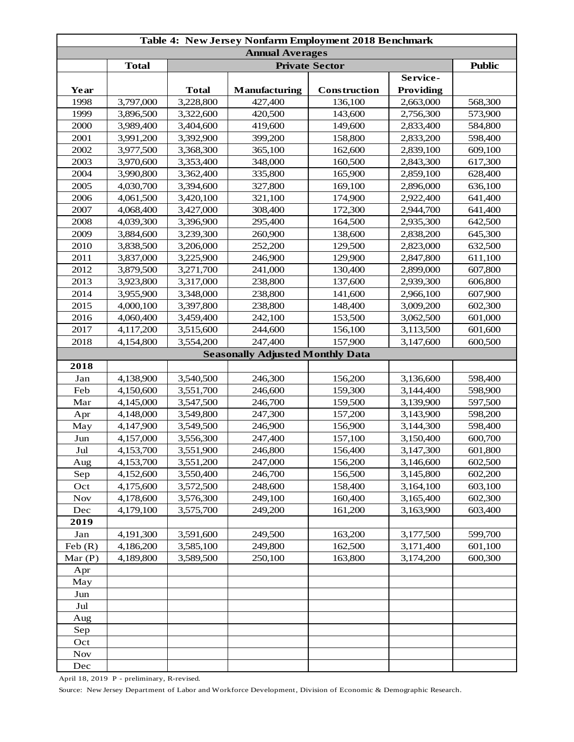| Table 4: New Jersey Nonfarm Employment 2018 Benchmark |              |              |                                         |              |                  |         |  |
|-------------------------------------------------------|--------------|--------------|-----------------------------------------|--------------|------------------|---------|--|
| <b>Annual Averages</b>                                |              |              |                                         |              |                  |         |  |
|                                                       | <b>Total</b> |              | <b>Public</b>                           |              |                  |         |  |
|                                                       |              |              |                                         |              | Service-         |         |  |
| Year                                                  |              | <b>Total</b> | Manufacturing                           | Construction | <b>Providing</b> |         |  |
| 1998                                                  | 3,797,000    | 3,228,800    | 427,400                                 | 136,100      | 2,663,000        | 568,300 |  |
| 1999                                                  | 3,896,500    | 3,322,600    | 420,500                                 | 143,600      | 2,756,300        | 573,900 |  |
| 2000                                                  | 3,989,400    | 3,404,600    | 419,600                                 | 149,600      | 2,833,400        | 584,800 |  |
| 2001                                                  | 3,991,200    | 3,392,900    | 399,200                                 | 158,800      | 2,833,200        | 598,400 |  |
| 2002                                                  | 3,977,500    | 3,368,300    | 365,100                                 | 162,600      | 2,839,100        | 609,100 |  |
| 2003                                                  | 3,970,600    | 3,353,400    | 348,000                                 | 160,500      | 2,843,300        | 617,300 |  |
| 2004                                                  | 3,990,800    | 3,362,400    | 335,800                                 | 165,900      | 2,859,100        | 628,400 |  |
| 2005                                                  | 4,030,700    | 3,394,600    | 327,800                                 | 169,100      | 2,896,000        | 636,100 |  |
| 2006                                                  | 4,061,500    | 3,420,100    | 321,100                                 | 174,900      | 2,922,400        | 641,400 |  |
| 2007                                                  | 4,068,400    | 3,427,000    | 308,400                                 | 172,300      | 2,944,700        | 641,400 |  |
| 2008                                                  | 4,039,300    | 3,396,900    | 295,400                                 | 164,500      | 2,935,300        | 642,500 |  |
| 2009                                                  | 3,884,600    | 3,239,300    | 260,900                                 | 138,600      | 2,838,200        | 645,300 |  |
| 2010                                                  | 3,838,500    | 3,206,000    | 252,200                                 | 129,500      | 2,823,000        | 632,500 |  |
| 2011                                                  | 3,837,000    | 3,225,900    | 246,900                                 | 129,900      | 2,847,800        | 611,100 |  |
| 2012                                                  | 3,879,500    | 3,271,700    | 241,000                                 | 130,400      | 2,899,000        | 607,800 |  |
| 2013                                                  | 3,923,800    | 3,317,000    | 238,800                                 | 137,600      | 2,939,300        | 606,800 |  |
| 2014                                                  | 3,955,900    | 3,348,000    | 238,800                                 | 141,600      | 2,966,100        | 607,900 |  |
| 2015                                                  | 4,000,100    | 3,397,800    | 238,800                                 | 148,400      | 3,009,200        | 602,300 |  |
| 2016                                                  | 4,060,400    | 3,459,400    | 242,100                                 | 153,500      | 3,062,500        | 601,000 |  |
| 2017                                                  | 4,117,200    | 3,515,600    | 244,600                                 | 156,100      | 3,113,500        | 601,600 |  |
| 2018                                                  | 4,154,800    | 3,554,200    | 247,400                                 | 157,900      | 3,147,600        | 600,500 |  |
|                                                       |              |              | <b>Seasonally Adjusted Monthly Data</b> |              |                  |         |  |
| 2018                                                  |              |              |                                         |              |                  |         |  |
| Jan                                                   | 4,138,900    | 3,540,500    | 246,300                                 | 156,200      | 3,136,600        | 598,400 |  |
| Feb                                                   | 4,150,600    | 3,551,700    | 246,600                                 | 159,300      | 3,144,400        | 598,900 |  |
| Mar                                                   | 4,145,000    | 3,547,500    | 246,700                                 | 159,500      | 3,139,900        | 597,500 |  |
| Apr                                                   | 4,148,000    | 3,549,800    | 247,300                                 | 157,200      | 3,143,900        | 598,200 |  |
| May                                                   | 4,147,900    | 3,549,500    | 246,900                                 | 156,900      | 3,144,300        | 598,400 |  |
| Jun                                                   | 4,157,000    | 3,556,300    | 247,400                                 | 157,100      | 3,150,400        | 600,700 |  |
| Jul                                                   | 4,153,700    | 3,551,900    | 246,800                                 | 156,400      | 3,147,300        | 601,800 |  |
| Aug                                                   | 4,153,700    | 3,551,200    | 247,000                                 | 156,200      | 3,146,600        | 602,500 |  |
| Sep                                                   | 4,152,600    | 3,550,400    | 246,700                                 | 156,500      | 3,145,800        | 602,200 |  |
| Oct                                                   | 4,175,600    | 3,572,500    | 248,600                                 | 158,400      | 3,164,100        | 603,100 |  |
| <b>Nov</b>                                            | 4,178,600    | 3,576,300    | 249,100                                 | 160,400      | 3,165,400        | 602,300 |  |
| Dec                                                   | 4,179,100    | 3,575,700    | 249,200                                 | 161,200      | 3,163,900        | 603,400 |  |
| 2019                                                  |              |              |                                         |              |                  |         |  |
| Jan                                                   | 4,191,300    | 3,591,600    | 249,500                                 | 163,200      | 3,177,500        | 599,700 |  |
| Feb(R)                                                | 4,186,200    | 3,585,100    | 249,800                                 | 162,500      | 3,171,400        | 601,100 |  |
| Mar $(P)$                                             | 4,189,800    | 3,589,500    | 250,100                                 | 163,800      | 3,174,200        | 600,300 |  |
|                                                       |              |              |                                         |              |                  |         |  |
| Apr                                                   |              |              |                                         |              |                  |         |  |
| May                                                   |              |              |                                         |              |                  |         |  |
| Jun                                                   |              |              |                                         |              |                  |         |  |
| Jul                                                   |              |              |                                         |              |                  |         |  |
| Aug                                                   |              |              |                                         |              |                  |         |  |
| Sep                                                   |              |              |                                         |              |                  |         |  |
| Oct                                                   |              |              |                                         |              |                  |         |  |
| <b>Nov</b>                                            |              |              |                                         |              |                  |         |  |
| Dec                                                   |              |              |                                         |              |                  |         |  |

April 18, 2019 P - preliminary, R-revised.

Source: New Jersey Department of Labor and Workforce Development, Division of Economic & Demographic Research.